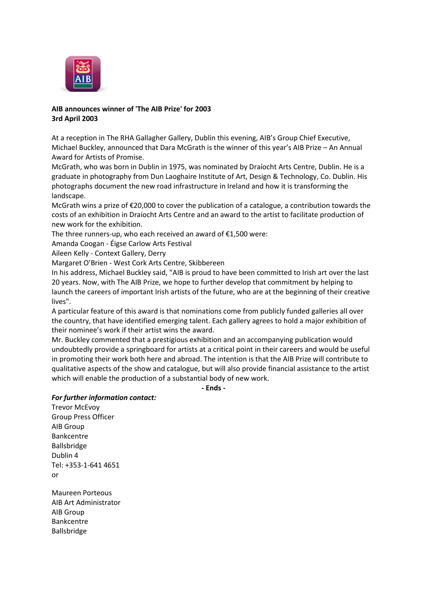

## **AIB announces winner of 'The AIB Prize' for 2003 3rd April 2003**

At a reception in The RHA Gallagher Gallery, Dublin this evening, AIB's Group Chief Executive, Michael Buckley, announced that Dara McGrath is the winner of this year's AIB Prize – An Annual Award for Artists of Promise.

McGrath, who was born in Dublin in 1975, was nominated by Draíocht Arts Centre, Dublin. He is a graduate in photography from Dun Laoghaire Institute of Art, Design & Technology, Co. Dublin. His photographs document the new road infrastructure in Ireland and how it is transforming the landscape.

McGrath wins a prize of €20,000 to cover the publication of a catalogue, a contribution towards the costs of an exhibition in Draíocht Arts Centre and an award to the artist to facilitate production of new work for the exhibition.

The three runners-up, who each received an award of €1,500 were:

Amanda Coogan - Éigse Carlow Arts Festival

Aileen Kelly - Context Gallery, Derry

Margaret O'Brien - West Cork Arts Centre, Skibbereen

In his address, Michael Buckley said, "AIB is proud to have been committed to Irish art over the last 20 years. Now, with The AIB Prize, we hope to further develop that commitment by helping to launch the careers of important Irish artists of the future, who are at the beginning of their creative lives".

A particular feature of this award is that nominations come from publicly funded galleries all over the country, that have identified emerging talent. Each gallery agrees to hold a major exhibition of their nominee's work if their artist wins the award.

Mr. Buckley commented that a prestigious exhibition and an accompanying publication would undoubtedly provide a springboard for artists at a critical point in their careers and would be useful in promoting their work both here and abroad. The intention is that the AIB Prize will contribute to qualitative aspects of the show and catalogue, but will also provide financial assistance to the artist which will enable the production of a substantial body of new work.

**- Ends -**

## *For further information contact:*

Trevor McEvoy Group Press Officer AIB Group Bankcentre Ballsbridge Dublin 4 Tel: +353-1-641 4651 or

Maureen Porteous AIB Art Administrator AIB Group Bankcentre Ballsbridge